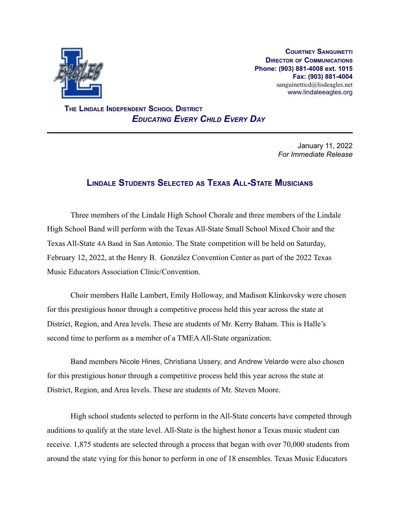

**COURTNEY SANGUINETTI DIRECTOR OF COMMUNICATIONS Phone: (903) 881-4008 ext. 1015 Fax: (903) 881-4004** sanguinetticd@lisdeagles.net www.lindaleeagles.org

**THE LINDALE INDEPENDENT SCHOOL DISTRICT** *EDUCATING EVERY CHILD EVERY DAY*

> January 11, 2022 *For Immediate Release*

## **LINDALE STUDENTS SELECTED AS TEXAS ALL-STATE MUSICIANS**

Three members of the Lindale High School Chorale and three members of the Lindale High School Band will perform with the Texas All-State Small School Mixed Choir and the Texas All-State 4A Band in San Antonio. The State competition will be held on Saturday, February 12, 2022, at the Henry B. González Convention Center as part of the 2022 Texas Music Educators Association Clinic/Convention.

Choir members Halle Lambert, Emily Holloway, and Madison Klinkovsky were chosen for this prestigious honor through a competitive process held this year across the state at District, Region, and Area levels. These are students of Mr. Kerry Baham. This is Halle's second time to perform as a member of a TMEAAll-State organization.

Band members Nicole Hines, Christiana Ussery, and Andrew Velarde were also chosen for this prestigious honor through a competitive process held this year across the state at District, Region, and Area levels. These are students of Mr. Steven Moore.

High school students selected to perform in the All-State concerts have competed through auditions to qualify at the state level. All-State is the highest honor a Texas music student can receive. 1,875 students are selected through a process that began with over 70,000 students from around the state vying for this honor to perform in one of 18 ensembles. Texas Music Educators